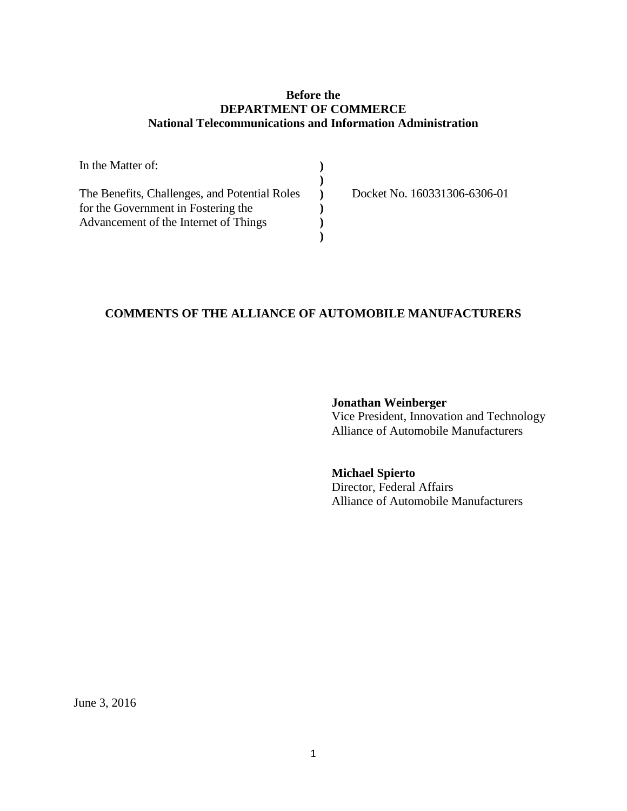#### **Before the DEPARTMENT OF COMMERCE National Telecommunications and Information Administration**

| In the Matter of:                             |  |
|-----------------------------------------------|--|
|                                               |  |
| The Benefits, Challenges, and Potential Roles |  |
| for the Government in Fostering the           |  |
| Advancement of the Internet of Things         |  |
|                                               |  |

Docket No. 160331306-6306-01

### **COMMENTS OF THE ALLIANCE OF AUTOMOBILE MANUFACTURERS**

**Jonathan Weinberger** Vice President, Innovation and Technology Alliance of Automobile Manufacturers

**Michael Spierto** Director, Federal Affairs Alliance of Automobile Manufacturers

June 3, 2016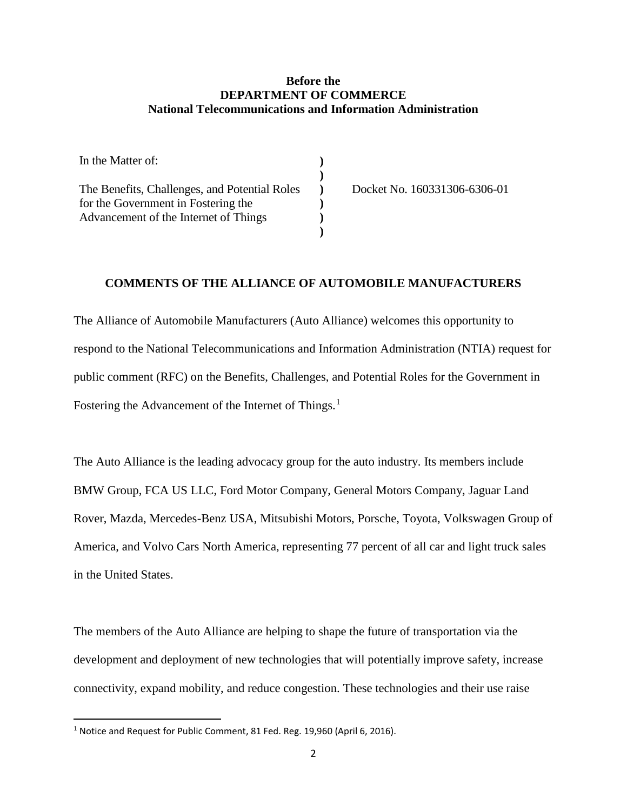#### **Before the DEPARTMENT OF COMMERCE National Telecommunications and Information Administration**

| In the Matter of:                             |                              |
|-----------------------------------------------|------------------------------|
|                                               |                              |
| The Benefits, Challenges, and Potential Roles | Docket No. 160331306-6306-01 |
| for the Government in Fostering the           |                              |
| Advancement of the Internet of Things         |                              |
|                                               |                              |

#### **COMMENTS OF THE ALLIANCE OF AUTOMOBILE MANUFACTURERS**

The Alliance of Automobile Manufacturers (Auto Alliance) welcomes this opportunity to respond to the National Telecommunications and Information Administration (NTIA) request for public comment (RFC) on the Benefits, Challenges, and Potential Roles for the Government in Fostering the Advancement of the Internet of Things.<sup>[1](#page-1-0)</sup>

The Auto Alliance is the leading advocacy group for the auto industry. Its members include BMW Group, FCA US LLC, Ford Motor Company, General Motors Company, Jaguar Land Rover, Mazda, Mercedes-Benz USA, Mitsubishi Motors, Porsche, Toyota, Volkswagen Group of America, and Volvo Cars North America, representing 77 percent of all car and light truck sales in the United States.

The members of the Auto Alliance are helping to shape the future of transportation via the development and deployment of new technologies that will potentially improve safety, increase connectivity, expand mobility, and reduce congestion. These technologies and their use raise

<span id="page-1-0"></span><sup>&</sup>lt;sup>1</sup> Notice and Request for Public Comment, 81 Fed. Reg. 19,960 (April 6, 2016).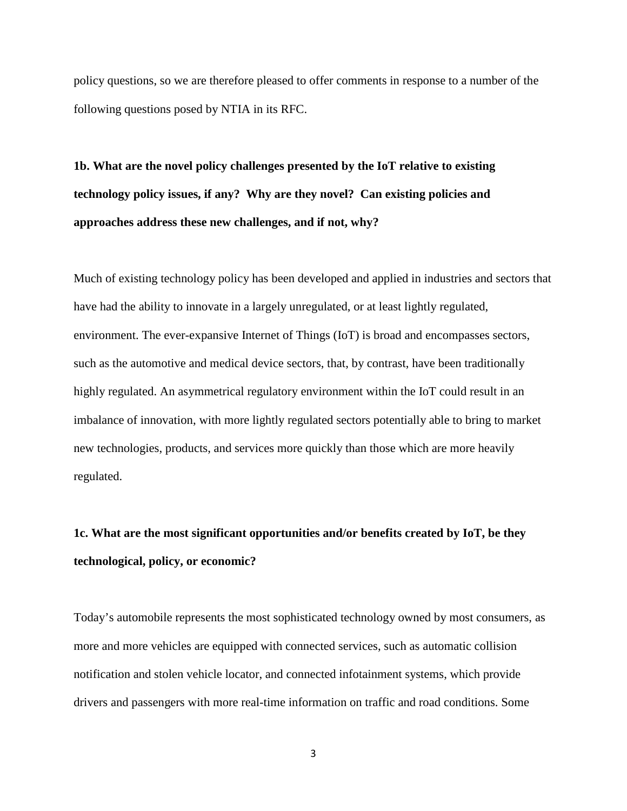policy questions, so we are therefore pleased to offer comments in response to a number of the following questions posed by NTIA in its RFC.

**1b. What are the novel policy challenges presented by the IoT relative to existing technology policy issues, if any? Why are they novel? Can existing policies and approaches address these new challenges, and if not, why?**

Much of existing technology policy has been developed and applied in industries and sectors that have had the ability to innovate in a largely unregulated, or at least lightly regulated, environment. The ever-expansive Internet of Things (IoT) is broad and encompasses sectors, such as the automotive and medical device sectors, that, by contrast, have been traditionally highly regulated. An asymmetrical regulatory environment within the IoT could result in an imbalance of innovation, with more lightly regulated sectors potentially able to bring to market new technologies, products, and services more quickly than those which are more heavily regulated.

# **1c. What are the most significant opportunities and/or benefits created by IoT, be they technological, policy, or economic?**

Today's automobile represents the most sophisticated technology owned by most consumers, as more and more vehicles are equipped with connected services, such as automatic collision notification and stolen vehicle locator, and connected infotainment systems, which provide drivers and passengers with more real-time information on traffic and road conditions. Some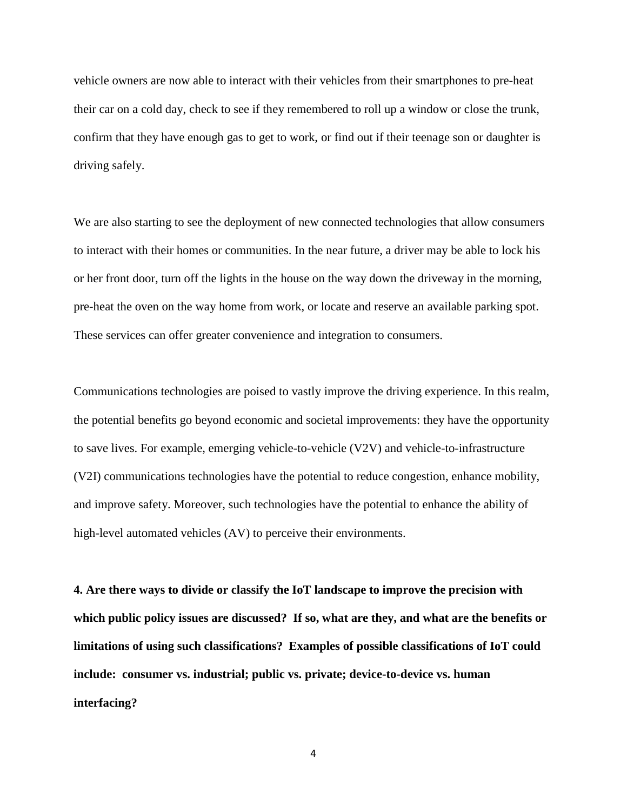vehicle owners are now able to interact with their vehicles from their smartphones to pre-heat their car on a cold day, check to see if they remembered to roll up a window or close the trunk, confirm that they have enough gas to get to work, or find out if their teenage son or daughter is driving safely.

We are also starting to see the deployment of new connected technologies that allow consumers to interact with their homes or communities. In the near future, a driver may be able to lock his or her front door, turn off the lights in the house on the way down the driveway in the morning, pre-heat the oven on the way home from work, or locate and reserve an available parking spot. These services can offer greater convenience and integration to consumers.

Communications technologies are poised to vastly improve the driving experience. In this realm, the potential benefits go beyond economic and societal improvements: they have the opportunity to save lives. For example, emerging vehicle-to-vehicle (V2V) and vehicle-to-infrastructure (V2I) communications technologies have the potential to reduce congestion, enhance mobility, and improve safety. Moreover, such technologies have the potential to enhance the ability of high-level automated vehicles (AV) to perceive their environments.

**4. Are there ways to divide or classify the IoT landscape to improve the precision with which public policy issues are discussed? If so, what are they, and what are the benefits or limitations of using such classifications? Examples of possible classifications of IoT could include: consumer vs. industrial; public vs. private; device-to-device vs. human interfacing?**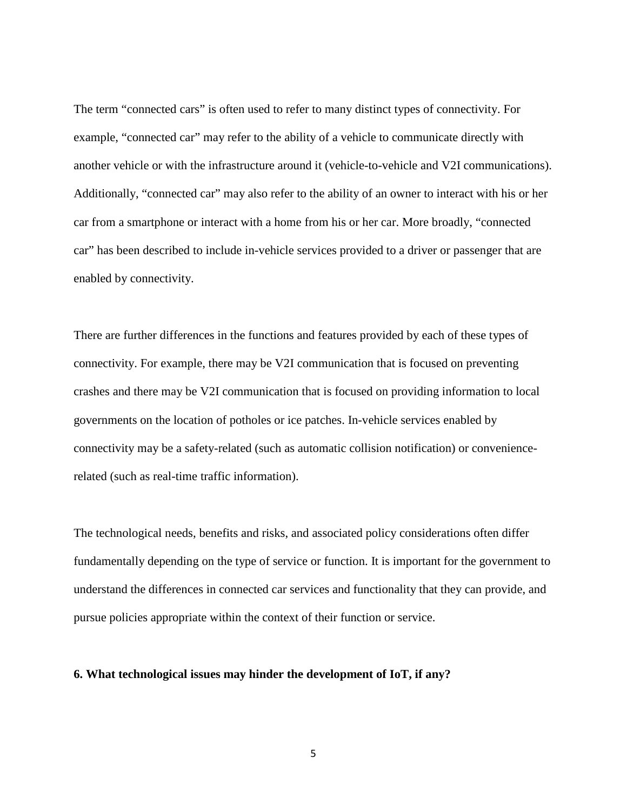The term "connected cars" is often used to refer to many distinct types of connectivity. For example, "connected car" may refer to the ability of a vehicle to communicate directly with another vehicle or with the infrastructure around it (vehicle-to-vehicle and V2I communications). Additionally, "connected car" may also refer to the ability of an owner to interact with his or her car from a smartphone or interact with a home from his or her car. More broadly, "connected car" has been described to include in-vehicle services provided to a driver or passenger that are enabled by connectivity.

There are further differences in the functions and features provided by each of these types of connectivity. For example, there may be V2I communication that is focused on preventing crashes and there may be V2I communication that is focused on providing information to local governments on the location of potholes or ice patches. In-vehicle services enabled by connectivity may be a safety-related (such as automatic collision notification) or conveniencerelated (such as real-time traffic information).

The technological needs, benefits and risks, and associated policy considerations often differ fundamentally depending on the type of service or function. It is important for the government to understand the differences in connected car services and functionality that they can provide, and pursue policies appropriate within the context of their function or service.

#### **6. What technological issues may hinder the development of IoT, if any?**

5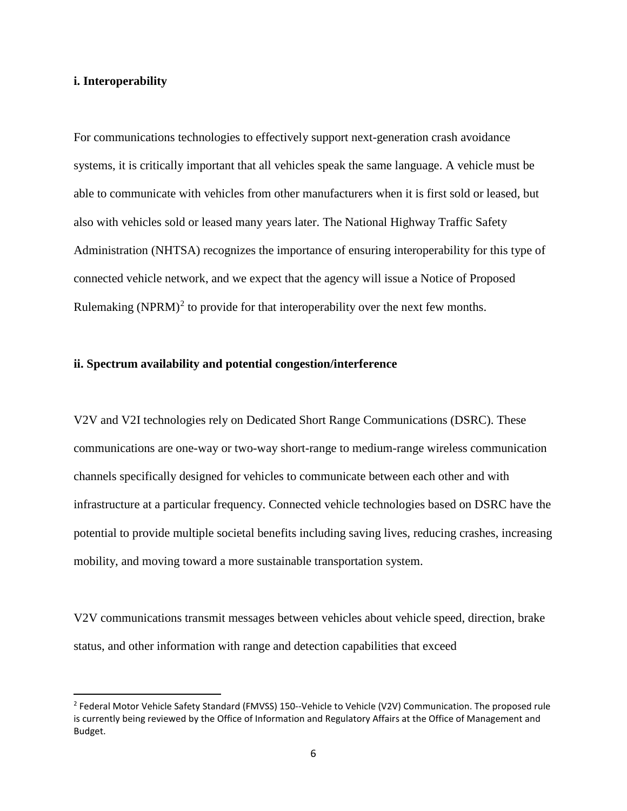#### **i. Interoperability**

For communications technologies to effectively support next-generation crash avoidance systems, it is critically important that all vehicles speak the same language. A vehicle must be able to communicate with vehicles from other manufacturers when it is first sold or leased, but also with vehicles sold or leased many years later. The National Highway Traffic Safety Administration (NHTSA) recognizes the importance of ensuring interoperability for this type of connected vehicle network, and we expect that the agency will issue a Notice of Proposed Rulemaking (NPRM)<sup>[2](#page-5-0)</sup> to provide for that interoperability over the next few months.

#### **ii. Spectrum availability and potential congestion/interference**

V2V and V2I technologies rely on Dedicated Short Range Communications (DSRC). These communications are one-way or two-way short-range to medium-range wireless communication channels specifically designed for vehicles to communicate between each other and with infrastructure at a particular frequency. Connected vehicle technologies based on DSRC have the potential to provide multiple societal benefits including saving lives, reducing crashes, increasing mobility, and moving toward a more sustainable transportation system.

V2V communications transmit messages between vehicles about vehicle speed, direction, brake status, and other information with range and detection capabilities that exceed

<span id="page-5-0"></span><sup>&</sup>lt;sup>2</sup> Federal Motor Vehicle Safety Standard (FMVSS) 150--Vehicle to Vehicle (V2V) Communication. The proposed rule is currently being reviewed by the Office of Information and Regulatory Affairs at the Office of Management and Budget.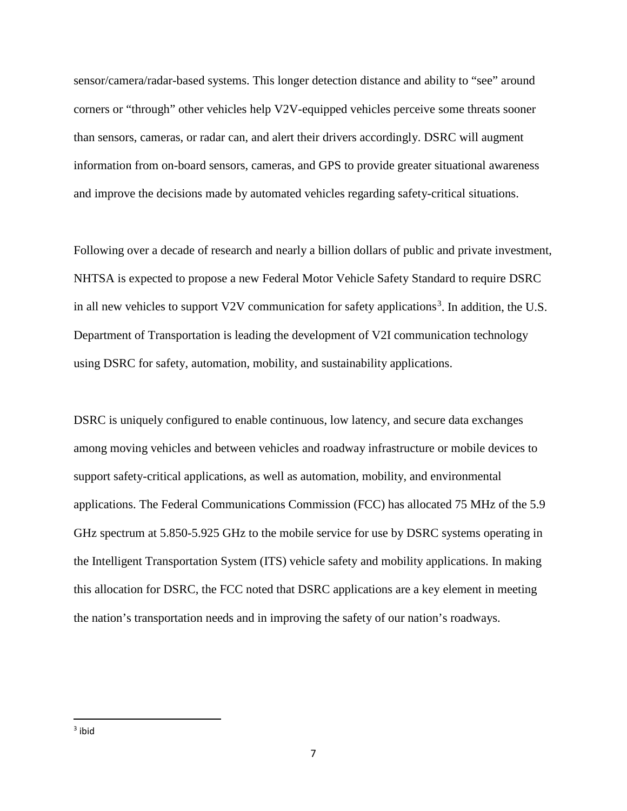sensor/camera/radar-based systems. This longer detection distance and ability to "see" around corners or "through" other vehicles help V2V-equipped vehicles perceive some threats sooner than sensors, cameras, or radar can, and alert their drivers accordingly. DSRC will augment information from on-board sensors, cameras, and GPS to provide greater situational awareness and improve the decisions made by automated vehicles regarding safety-critical situations.

Following over a decade of research and nearly a billion dollars of public and private investment, NHTSA is expected to propose a new Federal Motor Vehicle Safety Standard to require DSRC in all new vehicles to support V2V communication for safety applications<sup>[3](#page-6-0)</sup>. In addition, the U.S. Department of Transportation is leading the development of V2I communication technology using DSRC for safety, automation, mobility, and sustainability applications.

<span id="page-6-0"></span>DSRC is uniquely configured to enable continuous, low latency, and secure data exchanges among moving vehicles and between vehicles and roadway infrastructure or mobile devices to support safety-critical applications, as well as automation, mobility, and environmental applications. The Federal Communications Commission (FCC) has allocated 75 MHz of the 5.9 GHz spectrum at 5.850-5.925 GHz to the mobile service for use by DSRC systems operating in the Intelligent Transportation System (ITS) vehicle safety and mobility applications. In making this allocation for DSRC, the FCC noted that DSRC applications are a key element in meeting the nation's transportation needs and in improving the safety of our nation's roadways.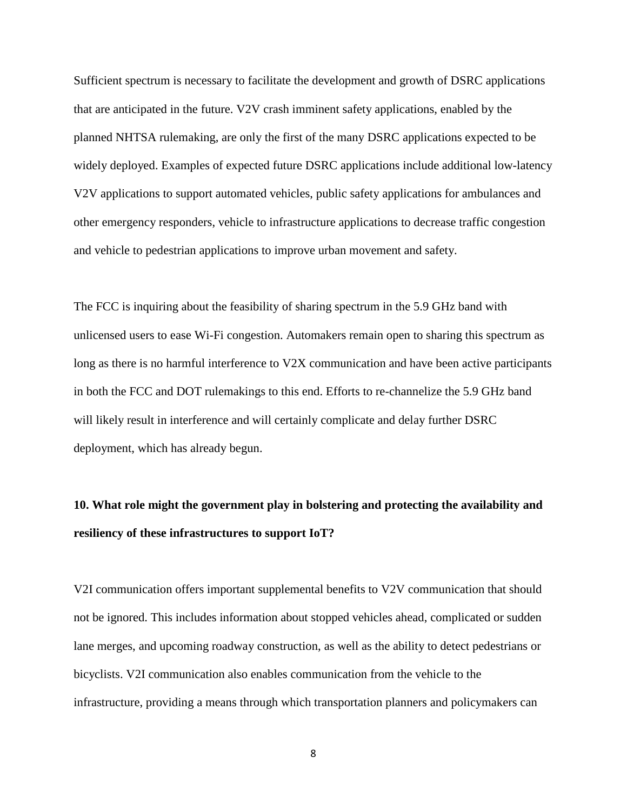Sufficient spectrum is necessary to facilitate the development and growth of DSRC applications that are anticipated in the future. V2V crash imminent safety applications, enabled by the planned NHTSA rulemaking, are only the first of the many DSRC applications expected to be widely deployed. Examples of expected future DSRC applications include additional low-latency V2V applications to support automated vehicles, public safety applications for ambulances and other emergency responders, vehicle to infrastructure applications to decrease traffic congestion and vehicle to pedestrian applications to improve urban movement and safety.

The FCC is inquiring about the feasibility of sharing spectrum in the 5.9 GHz band with unlicensed users to ease Wi-Fi congestion. Automakers remain open to sharing this spectrum as long as there is no harmful interference to V2X communication and have been active participants in both the FCC and DOT rulemakings to this end. Efforts to re-channelize the 5.9 GHz band will likely result in interference and will certainly complicate and delay further DSRC deployment, which has already begun.

## **10. What role might the government play in bolstering and protecting the availability and resiliency of these infrastructures to support IoT?**

V2I communication offers important supplemental benefits to V2V communication that should not be ignored. This includes information about stopped vehicles ahead, complicated or sudden lane merges, and upcoming roadway construction, as well as the ability to detect pedestrians or bicyclists. V2I communication also enables communication from the vehicle to the infrastructure, providing a means through which transportation planners and policymakers can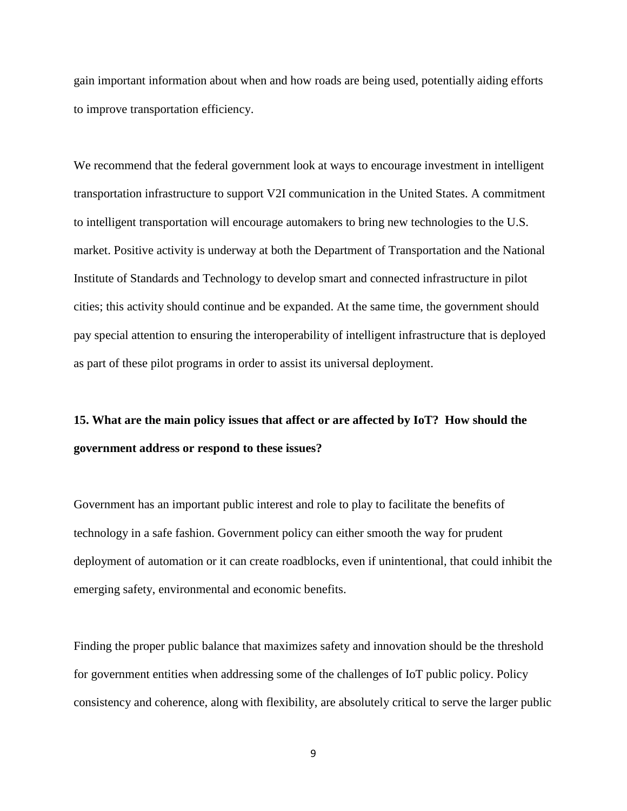gain important information about when and how roads are being used, potentially aiding efforts to improve transportation efficiency.

We recommend that the federal government look at ways to encourage investment in intelligent transportation infrastructure to support V2I communication in the United States. A commitment to intelligent transportation will encourage automakers to bring new technologies to the U.S. market. Positive activity is underway at both the Department of Transportation and the National Institute of Standards and Technology to develop smart and connected infrastructure in pilot cities; this activity should continue and be expanded. At the same time, the government should pay special attention to ensuring the interoperability of intelligent infrastructure that is deployed as part of these pilot programs in order to assist its universal deployment.

## **15. What are the main policy issues that affect or are affected by IoT? How should the government address or respond to these issues?**

Government has an important public interest and role to play to facilitate the benefits of technology in a safe fashion. Government policy can either smooth the way for prudent deployment of automation or it can create roadblocks, even if unintentional, that could inhibit the emerging safety, environmental and economic benefits.

Finding the proper public balance that maximizes safety and innovation should be the threshold for government entities when addressing some of the challenges of IoT public policy. Policy consistency and coherence, along with flexibility, are absolutely critical to serve the larger public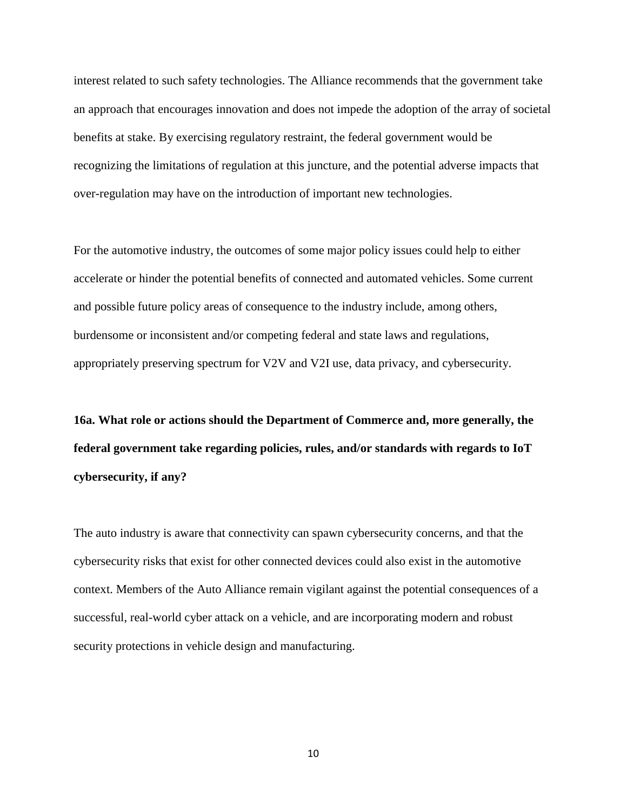interest related to such safety technologies. The Alliance recommends that the government take an approach that encourages innovation and does not impede the adoption of the array of societal benefits at stake. By exercising regulatory restraint, the federal government would be recognizing the limitations of regulation at this juncture, and the potential adverse impacts that over-regulation may have on the introduction of important new technologies.

For the automotive industry, the outcomes of some major policy issues could help to either accelerate or hinder the potential benefits of connected and automated vehicles. Some current and possible future policy areas of consequence to the industry include, among others, burdensome or inconsistent and/or competing federal and state laws and regulations, appropriately preserving spectrum for V2V and V2I use, data privacy, and cybersecurity.

**16a. What role or actions should the Department of Commerce and, more generally, the federal government take regarding policies, rules, and/or standards with regards to IoT cybersecurity, if any?** 

The auto industry is aware that connectivity can spawn cybersecurity concerns, and that the cybersecurity risks that exist for other connected devices could also exist in the automotive context. Members of the Auto Alliance remain vigilant against the potential consequences of a successful, real-world cyber attack on a vehicle, and are incorporating modern and robust security protections in vehicle design and manufacturing.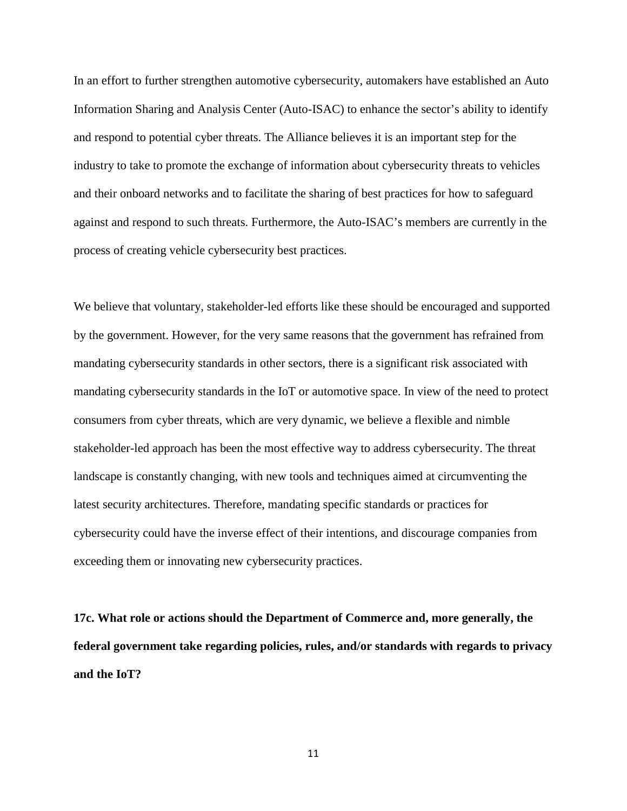In an effort to further strengthen automotive cybersecurity, automakers have established an Auto Information Sharing and Analysis Center (Auto-ISAC) to enhance the sector's ability to identify and respond to potential cyber threats. The Alliance believes it is an important step for the industry to take to promote the exchange of information about cybersecurity threats to vehicles and their onboard networks and to facilitate the sharing of best practices for how to safeguard against and respond to such threats. Furthermore, the Auto-ISAC's members are currently in the process of creating vehicle cybersecurity best practices.

We believe that voluntary, stakeholder-led efforts like these should be encouraged and supported by the government. However, for the very same reasons that the government has refrained from mandating cybersecurity standards in other sectors, there is a significant risk associated with mandating cybersecurity standards in the IoT or automotive space. In view of the need to protect consumers from cyber threats, which are very dynamic, we believe a flexible and nimble stakeholder-led approach has been the most effective way to address cybersecurity. The threat landscape is constantly changing, with new tools and techniques aimed at circumventing the latest security architectures. Therefore, mandating specific standards or practices for cybersecurity could have the inverse effect of their intentions, and discourage companies from exceeding them or innovating new cybersecurity practices.

**17c. What role or actions should the Department of Commerce and, more generally, the federal government take regarding policies, rules, and/or standards with regards to privacy and the IoT?**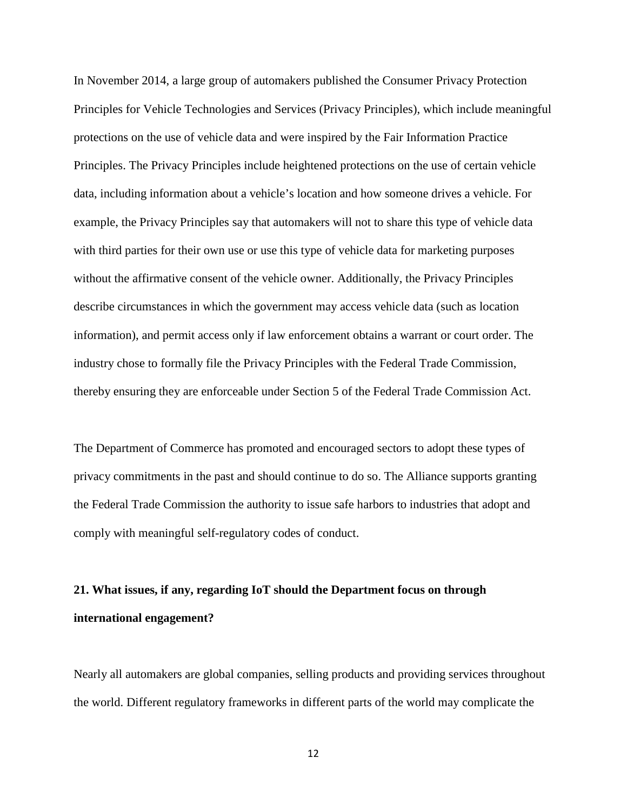In November 2014, a large group of automakers published the Consumer Privacy Protection Principles for Vehicle Technologies and Services (Privacy Principles), which include meaningful protections on the use of vehicle data and were inspired by the Fair Information Practice Principles. The Privacy Principles include heightened protections on the use of certain vehicle data, including information about a vehicle's location and how someone drives a vehicle. For example, the Privacy Principles say that automakers will not to share this type of vehicle data with third parties for their own use or use this type of vehicle data for marketing purposes without the affirmative consent of the vehicle owner. Additionally, the Privacy Principles describe circumstances in which the government may access vehicle data (such as location information), and permit access only if law enforcement obtains a warrant or court order. The industry chose to formally file the Privacy Principles with the Federal Trade Commission, thereby ensuring they are enforceable under Section 5 of the Federal Trade Commission Act.

The Department of Commerce has promoted and encouraged sectors to adopt these types of privacy commitments in the past and should continue to do so. The Alliance supports granting the Federal Trade Commission the authority to issue safe harbors to industries that adopt and comply with meaningful self-regulatory codes of conduct.

### **21. What issues, if any, regarding IoT should the Department focus on through international engagement?**

Nearly all automakers are global companies, selling products and providing services throughout the world. Different regulatory frameworks in different parts of the world may complicate the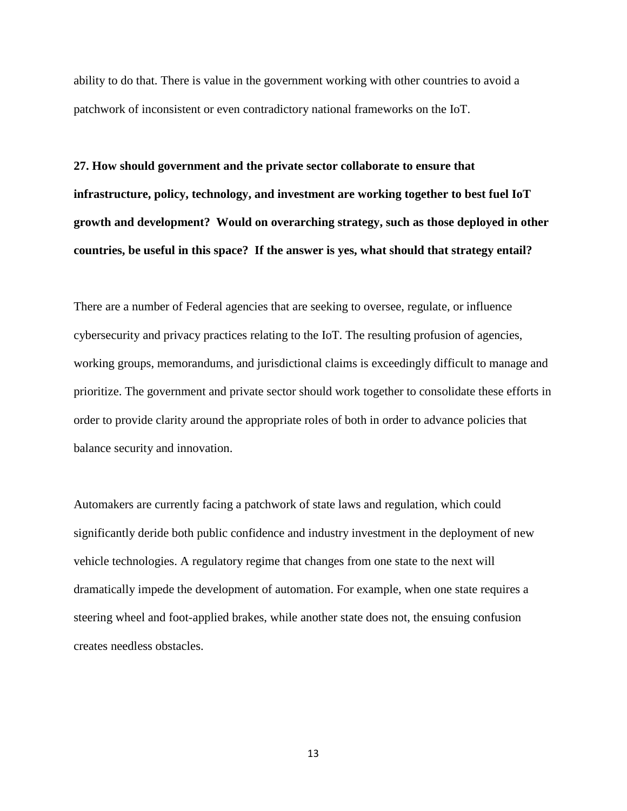ability to do that. There is value in the government working with other countries to avoid a patchwork of inconsistent or even contradictory national frameworks on the IoT.

**27. How should government and the private sector collaborate to ensure that infrastructure, policy, technology, and investment are working together to best fuel IoT growth and development? Would on overarching strategy, such as those deployed in other countries, be useful in this space? If the answer is yes, what should that strategy entail?** 

There are a number of Federal agencies that are seeking to oversee, regulate, or influence cybersecurity and privacy practices relating to the IoT. The resulting profusion of agencies, working groups, memorandums, and jurisdictional claims is exceedingly difficult to manage and prioritize. The government and private sector should work together to consolidate these efforts in order to provide clarity around the appropriate roles of both in order to advance policies that balance security and innovation.

Automakers are currently facing a patchwork of state laws and regulation, which could significantly deride both public confidence and industry investment in the deployment of new vehicle technologies. A regulatory regime that changes from one state to the next will dramatically impede the development of automation. For example, when one state requires a steering wheel and foot-applied brakes, while another state does not, the ensuing confusion creates needless obstacles.

13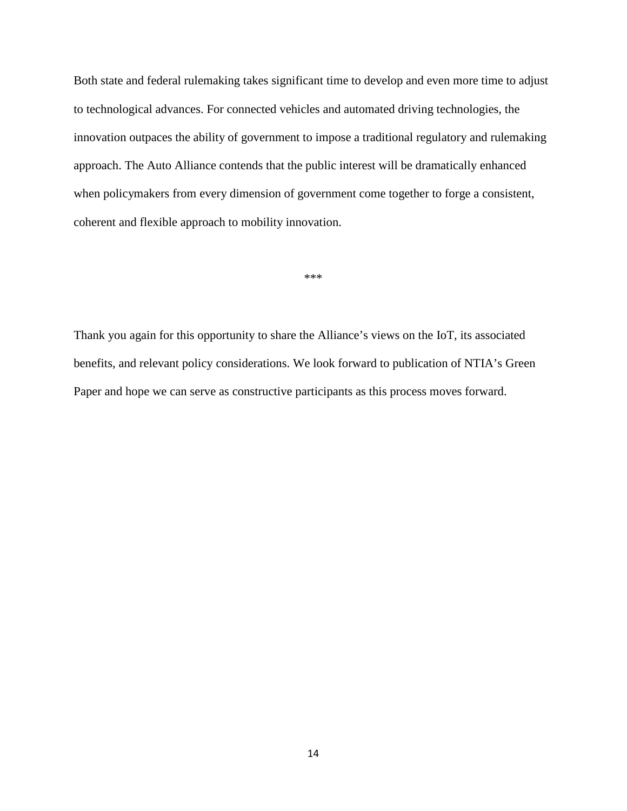Both state and federal rulemaking takes significant time to develop and even more time to adjust to technological advances. For connected vehicles and automated driving technologies, the innovation outpaces the ability of government to impose a traditional regulatory and rulemaking approach. The Auto Alliance contends that the public interest will be dramatically enhanced when policymakers from every dimension of government come together to forge a consistent, coherent and flexible approach to mobility innovation.

\*\*\*

Thank you again for this opportunity to share the Alliance's views on the IoT, its associated benefits, and relevant policy considerations. We look forward to publication of NTIA's Green Paper and hope we can serve as constructive participants as this process moves forward.